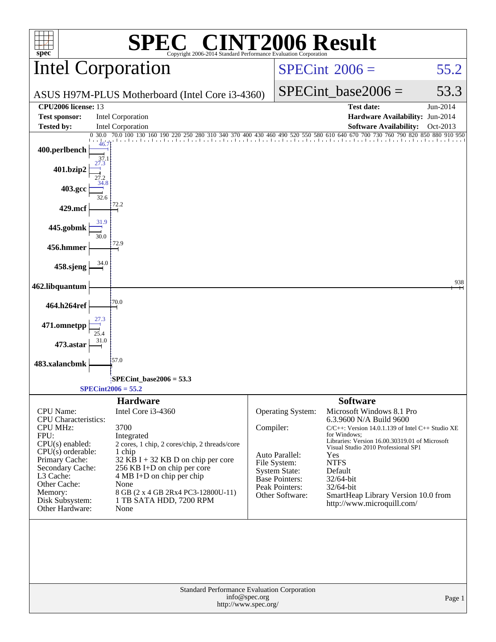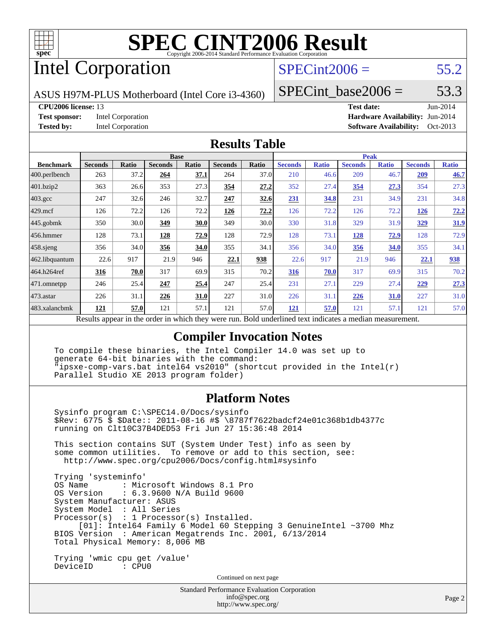

# Intel Corporation

### $SPECint2006 = 55.2$  $SPECint2006 = 55.2$

ASUS H97M-PLUS Motherboard (Intel Core i3-4360)

SPECint base2006 =  $53.3$ 

#### **[CPU2006 license:](http://www.spec.org/auto/cpu2006/Docs/result-fields.html#CPU2006license)** 13 **[Test date:](http://www.spec.org/auto/cpu2006/Docs/result-fields.html#Testdate)** Jun-2014

**[Test sponsor:](http://www.spec.org/auto/cpu2006/Docs/result-fields.html#Testsponsor)** Intel Corporation **[Hardware Availability:](http://www.spec.org/auto/cpu2006/Docs/result-fields.html#HardwareAvailability)** Jun-2014 **[Tested by:](http://www.spec.org/auto/cpu2006/Docs/result-fields.html#Testedby)** Intel Corporation **[Software Availability:](http://www.spec.org/auto/cpu2006/Docs/result-fields.html#SoftwareAvailability)** Oct-2013

#### **[Results Table](http://www.spec.org/auto/cpu2006/Docs/result-fields.html#ResultsTable)**

|                                                                                                          | <b>Base</b>    |              |                |              | <b>Peak</b>    |       |                |              |                |              |                |              |
|----------------------------------------------------------------------------------------------------------|----------------|--------------|----------------|--------------|----------------|-------|----------------|--------------|----------------|--------------|----------------|--------------|
| <b>Benchmark</b>                                                                                         | <b>Seconds</b> | <b>Ratio</b> | <b>Seconds</b> | <b>Ratio</b> | <b>Seconds</b> | Ratio | <b>Seconds</b> | <b>Ratio</b> | <b>Seconds</b> | <b>Ratio</b> | <b>Seconds</b> | <b>Ratio</b> |
| 400.perlbench                                                                                            | 263            | 37.2         | 264            | 37.1         | 264            | 37.0  | 210            | 46.6         | 209            | 46.7         | 209            | 46.7         |
| 401.bzip2                                                                                                | 363            | 26.6         | 353            | 27.3         | 354            | 27.2  | 352            | 27.4         | 354            | 27.3         | 354            | 27.3         |
| $403.\mathrm{gcc}$                                                                                       | 247            | 32.6         | 246            | 32.7         | 247            | 32.6  | 231            | 34.8         | 231            | 34.9         | 231            | 34.8         |
| $429$ .mcf                                                                                               | 126            | 72.2         | 126            | 72.2         | <u>126</u>     | 72.2  | 126            | 72.2         | 126            | 72.2         | <u>126</u>     | 72.2         |
| $445$ .gobmk                                                                                             | 350            | 30.0         | 349            | 30.0         | 349            | 30.0  | 330            | 31.8         | 329            | 31.9         | <u>329</u>     | 31.9         |
| $456.$ hmmer                                                                                             | 128            | 73.1         | 128            | 72.9         | 128            | 72.9  | 128            | 73.1         | 128            | 72.9         | 128            | 72.9         |
| $458$ .sjeng                                                                                             | 356            | 34.0         | 356            | 34.0         | 355            | 34.1  | 356            | 34.0         | 356            | 34.0         | 355            | 34.1         |
| 462.libquantum                                                                                           | 22.6           | 917          | 21.9           | 946          | 22.1           | 938   | 22.6           | 917          | 21.9           | 946          | 22.1           | 938          |
| 464.h264ref                                                                                              | 316            | 70.0         | 317            | 69.9         | 315            | 70.2  | <u>316</u>     | 70.0         | 317            | 69.9         | 315            | 70.2         |
| $ 471$ .omnetpp                                                                                          | 246            | 25.4         | 247            | 25.4         | 247            | 25.4  | 231            | 27.1         | 229            | 27.4         | 229            | 27.3         |
| 473.astar                                                                                                | 226            | 31.1         | 226            | 31.0         | 227            | 31.0  | 226            | 31.1         | 226            | 31.0         | 227            | 31.0         |
| 483.xalancbmk                                                                                            | 121            | 57.0         | 121            | 57.1         | 121            | 57.0  | 121            | 57.0         | 121            | 57.1         | 121            | 57.0         |
| Results appear in the order in which they were run. Bold underlined text indicates a median measurement. |                |              |                |              |                |       |                |              |                |              |                |              |

### **[Compiler Invocation Notes](http://www.spec.org/auto/cpu2006/Docs/result-fields.html#CompilerInvocationNotes)**

 To compile these binaries, the Intel Compiler 14.0 was set up to generate 64-bit binaries with the command: "ipsxe-comp-vars.bat intel64 vs2010" (shortcut provided in the Intel(r) Parallel Studio XE 2013 program folder)

### **[Platform Notes](http://www.spec.org/auto/cpu2006/Docs/result-fields.html#PlatformNotes)**

 Sysinfo program C:\SPEC14.0/Docs/sysinfo \$Rev: 6775 \$ \$Date:: 2011-08-16 #\$ \8787f7622badcf24e01c368b1db4377c running on Clt10C37B4DED53 Fri Jun 27 15:36:48 2014 This section contains SUT (System Under Test) info as seen by some common utilities. To remove or add to this section, see: <http://www.spec.org/cpu2006/Docs/config.html#sysinfo> Trying 'systeminfo' : Microsoft Windows 8.1 Pro OS Version : 6.3.9600 N/A Build 9600

 System Manufacturer: ASUS System Model : All Series Processor(s) : 1 Processor(s) Installed. [01]: Intel64 Family 6 Model 60 Stepping 3 GenuineIntel ~3700 Mhz BIOS Version : American Megatrends Inc. 2001, 6/13/2014 Total Physical Memory: 8,006 MB

 Trying 'wmic cpu get /value' DeviceID : CPU0

Continued on next page

```
Standard Performance Evaluation Corporation
    info@spec.org
  http://www.spec.org/
```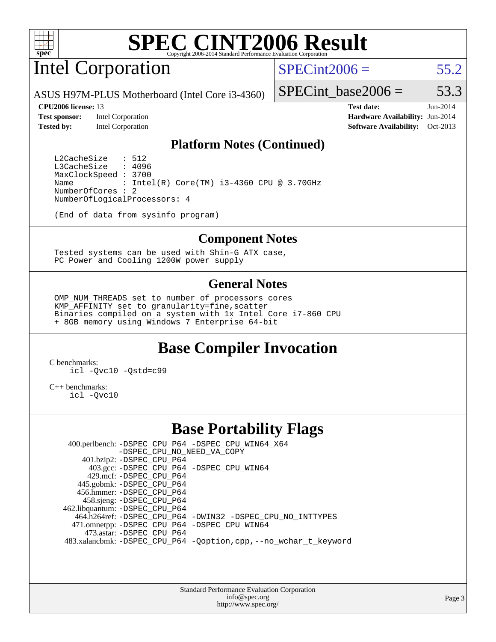

# Intel Corporation

 $SPECint2006 = 55.2$  $SPECint2006 = 55.2$ 

ASUS H97M-PLUS Motherboard (Intel Core i3-4360)

**[Test sponsor:](http://www.spec.org/auto/cpu2006/Docs/result-fields.html#Testsponsor)** Intel Corporation **[Hardware Availability:](http://www.spec.org/auto/cpu2006/Docs/result-fields.html#HardwareAvailability)** Jun-2014

SPECint base2006 =  $53.3$ 

**[CPU2006 license:](http://www.spec.org/auto/cpu2006/Docs/result-fields.html#CPU2006license)** 13 **[Test date:](http://www.spec.org/auto/cpu2006/Docs/result-fields.html#Testdate)** Jun-2014 **[Tested by:](http://www.spec.org/auto/cpu2006/Docs/result-fields.html#Testedby)** Intel Corporation **[Software Availability:](http://www.spec.org/auto/cpu2006/Docs/result-fields.html#SoftwareAvailability)** Oct-2013

### **[Platform Notes \(Continued\)](http://www.spec.org/auto/cpu2006/Docs/result-fields.html#PlatformNotes)**

L2CacheSize : 512<br>L3CacheSize : 4096 L3CacheSize MaxClockSpeed : 3700 Name : Intel(R) Core(TM) i3-4360 CPU @ 3.70GHz NumberOfCores : 2 NumberOfLogicalProcessors: 4

(End of data from sysinfo program)

#### **[Component Notes](http://www.spec.org/auto/cpu2006/Docs/result-fields.html#ComponentNotes)**

 Tested systems can be used with Shin-G ATX case, PC Power and Cooling 1200W power supply

### **[General Notes](http://www.spec.org/auto/cpu2006/Docs/result-fields.html#GeneralNotes)**

 OMP\_NUM\_THREADS set to number of processors cores KMP\_AFFINITY set to granularity=fine,scatter Binaries compiled on a system with 1x Intel Core i7-860 CPU + 8GB memory using Windows 7 Enterprise 64-bit

## **[Base Compiler Invocation](http://www.spec.org/auto/cpu2006/Docs/result-fields.html#BaseCompilerInvocation)**

[C benchmarks](http://www.spec.org/auto/cpu2006/Docs/result-fields.html#Cbenchmarks): [icl -Qvc10](http://www.spec.org/cpu2006/results/res2014q3/cpu2006-20140725-30606.flags.html#user_CCbase_intel_icc_vc10_9607f3ecbcdf68042245f068e51b40c1) [-Qstd=c99](http://www.spec.org/cpu2006/results/res2014q3/cpu2006-20140725-30606.flags.html#user_CCbase_intel_compiler_c99_mode_1a3d110e3041b3ad4466830521bdad2a)

[C++ benchmarks:](http://www.spec.org/auto/cpu2006/Docs/result-fields.html#CXXbenchmarks) [icl -Qvc10](http://www.spec.org/cpu2006/results/res2014q3/cpu2006-20140725-30606.flags.html#user_CXXbase_intel_icc_vc10_9607f3ecbcdf68042245f068e51b40c1)

### **[Base Portability Flags](http://www.spec.org/auto/cpu2006/Docs/result-fields.html#BasePortabilityFlags)**

 400.perlbench: [-DSPEC\\_CPU\\_P64](http://www.spec.org/cpu2006/results/res2014q3/cpu2006-20140725-30606.flags.html#b400.perlbench_basePORTABILITY_DSPEC_CPU_P64) [-DSPEC\\_CPU\\_WIN64\\_X64](http://www.spec.org/cpu2006/results/res2014q3/cpu2006-20140725-30606.flags.html#b400.perlbench_baseCPORTABILITY_DSPEC_CPU_WIN64_X64) [-DSPEC\\_CPU\\_NO\\_NEED\\_VA\\_COPY](http://www.spec.org/cpu2006/results/res2014q3/cpu2006-20140725-30606.flags.html#b400.perlbench_baseCPORTABILITY_DSPEC_CPU_NO_NEED_VA_COPY) 401.bzip2: [-DSPEC\\_CPU\\_P64](http://www.spec.org/cpu2006/results/res2014q3/cpu2006-20140725-30606.flags.html#suite_basePORTABILITY401_bzip2_DSPEC_CPU_P64) 403.gcc: [-DSPEC\\_CPU\\_P64](http://www.spec.org/cpu2006/results/res2014q3/cpu2006-20140725-30606.flags.html#suite_basePORTABILITY403_gcc_DSPEC_CPU_P64) [-DSPEC\\_CPU\\_WIN64](http://www.spec.org/cpu2006/results/res2014q3/cpu2006-20140725-30606.flags.html#b403.gcc_baseCPORTABILITY_DSPEC_CPU_WIN64) 429.mcf: [-DSPEC\\_CPU\\_P64](http://www.spec.org/cpu2006/results/res2014q3/cpu2006-20140725-30606.flags.html#suite_basePORTABILITY429_mcf_DSPEC_CPU_P64) 445.gobmk: [-DSPEC\\_CPU\\_P64](http://www.spec.org/cpu2006/results/res2014q3/cpu2006-20140725-30606.flags.html#suite_basePORTABILITY445_gobmk_DSPEC_CPU_P64) 456.hmmer: [-DSPEC\\_CPU\\_P64](http://www.spec.org/cpu2006/results/res2014q3/cpu2006-20140725-30606.flags.html#suite_basePORTABILITY456_hmmer_DSPEC_CPU_P64) 458.sjeng: [-DSPEC\\_CPU\\_P64](http://www.spec.org/cpu2006/results/res2014q3/cpu2006-20140725-30606.flags.html#suite_basePORTABILITY458_sjeng_DSPEC_CPU_P64) 462.libquantum: [-DSPEC\\_CPU\\_P64](http://www.spec.org/cpu2006/results/res2014q3/cpu2006-20140725-30606.flags.html#suite_basePORTABILITY462_libquantum_DSPEC_CPU_P64) 464.h264ref: [-DSPEC\\_CPU\\_P64](http://www.spec.org/cpu2006/results/res2014q3/cpu2006-20140725-30606.flags.html#suite_basePORTABILITY464_h264ref_DSPEC_CPU_P64) [-DWIN32](http://www.spec.org/cpu2006/results/res2014q3/cpu2006-20140725-30606.flags.html#b464.h264ref_baseCPORTABILITY_DWIN32) [-DSPEC\\_CPU\\_NO\\_INTTYPES](http://www.spec.org/cpu2006/results/res2014q3/cpu2006-20140725-30606.flags.html#b464.h264ref_baseCPORTABILITY_DSPEC_CPU_NO_INTTYPES) 471.omnetpp: [-DSPEC\\_CPU\\_P64](http://www.spec.org/cpu2006/results/res2014q3/cpu2006-20140725-30606.flags.html#suite_basePORTABILITY471_omnetpp_DSPEC_CPU_P64) [-DSPEC\\_CPU\\_WIN64](http://www.spec.org/cpu2006/results/res2014q3/cpu2006-20140725-30606.flags.html#b471.omnetpp_baseCXXPORTABILITY_DSPEC_CPU_WIN64) 473.astar: [-DSPEC\\_CPU\\_P64](http://www.spec.org/cpu2006/results/res2014q3/cpu2006-20140725-30606.flags.html#suite_basePORTABILITY473_astar_DSPEC_CPU_P64) 483.xalancbmk: [-DSPEC\\_CPU\\_P64](http://www.spec.org/cpu2006/results/res2014q3/cpu2006-20140725-30606.flags.html#suite_basePORTABILITY483_xalancbmk_DSPEC_CPU_P64) [-Qoption,cpp,--no\\_wchar\\_t\\_keyword](http://www.spec.org/cpu2006/results/res2014q3/cpu2006-20140725-30606.flags.html#user_baseCXXPORTABILITY483_xalancbmk_f-no_wchar_t_keyword_ec0ad4495a16b4e858bfcb29d949d25d)

> Standard Performance Evaluation Corporation [info@spec.org](mailto:info@spec.org) <http://www.spec.org/>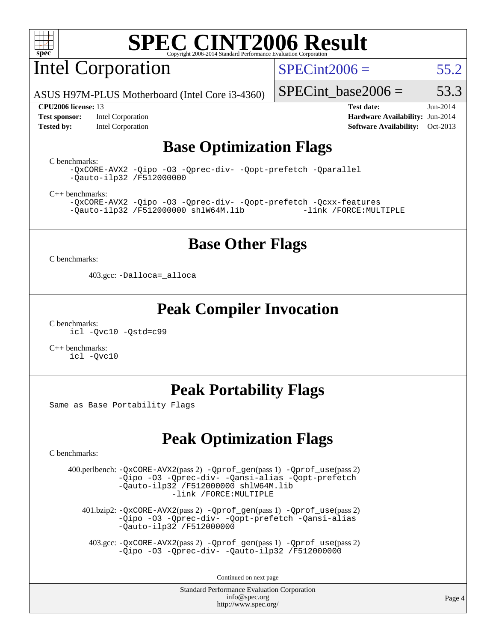

Intel Corporation

 $SPECint2006 = 55.2$  $SPECint2006 = 55.2$ 

ASUS H97M-PLUS Motherboard (Intel Core i3-4360)

**[Test sponsor:](http://www.spec.org/auto/cpu2006/Docs/result-fields.html#Testsponsor)** Intel Corporation **[Hardware Availability:](http://www.spec.org/auto/cpu2006/Docs/result-fields.html#HardwareAvailability)** Jun-2014 **[Tested by:](http://www.spec.org/auto/cpu2006/Docs/result-fields.html#Testedby)** Intel Corporation **[Software Availability:](http://www.spec.org/auto/cpu2006/Docs/result-fields.html#SoftwareAvailability)** Oct-2013

SPECint base2006 =  $53.3$ **[CPU2006 license:](http://www.spec.org/auto/cpu2006/Docs/result-fields.html#CPU2006license)** 13 **[Test date:](http://www.spec.org/auto/cpu2006/Docs/result-fields.html#Testdate)** Jun-2014

# **[Base Optimization Flags](http://www.spec.org/auto/cpu2006/Docs/result-fields.html#BaseOptimizationFlags)**

[C benchmarks](http://www.spec.org/auto/cpu2006/Docs/result-fields.html#Cbenchmarks):

[-QxCORE-AVX2](http://www.spec.org/cpu2006/results/res2014q3/cpu2006-20140725-30606.flags.html#user_CCbase_f-QxAVX2_f98716b5f9e905f99c943c56f21bf430) [-Qipo](http://www.spec.org/cpu2006/results/res2014q3/cpu2006-20140725-30606.flags.html#user_CCbase_f-Qipo) [-O3](http://www.spec.org/cpu2006/results/res2014q3/cpu2006-20140725-30606.flags.html#user_CCbase_f-O3) [-Qprec-div-](http://www.spec.org/cpu2006/results/res2014q3/cpu2006-20140725-30606.flags.html#user_CCbase_f-Qprec-div-) [-Qopt-prefetch](http://www.spec.org/cpu2006/results/res2014q3/cpu2006-20140725-30606.flags.html#user_CCbase_f-Qprefetch_37c211608666b9dff9380561f602f0a8) [-Qparallel](http://www.spec.org/cpu2006/results/res2014q3/cpu2006-20140725-30606.flags.html#user_CCbase_f-Qparallel) [-Qauto-ilp32](http://www.spec.org/cpu2006/results/res2014q3/cpu2006-20140725-30606.flags.html#user_CCbase_f-Qauto-ilp32) [/F512000000](http://www.spec.org/cpu2006/results/res2014q3/cpu2006-20140725-30606.flags.html#user_CCbase_set_stack_space_98438a10eb60aa5f35f4c79d9b9b27b1)

[C++ benchmarks:](http://www.spec.org/auto/cpu2006/Docs/result-fields.html#CXXbenchmarks)

[-QxCORE-AVX2](http://www.spec.org/cpu2006/results/res2014q3/cpu2006-20140725-30606.flags.html#user_CXXbase_f-QxAVX2_f98716b5f9e905f99c943c56f21bf430) [-Qipo](http://www.spec.org/cpu2006/results/res2014q3/cpu2006-20140725-30606.flags.html#user_CXXbase_f-Qipo) [-O3](http://www.spec.org/cpu2006/results/res2014q3/cpu2006-20140725-30606.flags.html#user_CXXbase_f-O3) [-Qprec-div-](http://www.spec.org/cpu2006/results/res2014q3/cpu2006-20140725-30606.flags.html#user_CXXbase_f-Qprec-div-) [-Qopt-prefetch](http://www.spec.org/cpu2006/results/res2014q3/cpu2006-20140725-30606.flags.html#user_CXXbase_f-Qprefetch_37c211608666b9dff9380561f602f0a8) [-Qcxx-features](http://www.spec.org/cpu2006/results/res2014q3/cpu2006-20140725-30606.flags.html#user_CXXbase_f-Qcxx_features_dbf36c8a6dba956e22f1645e4dcd4d98)  $-Qauto-ilp32 /F512000000$  $-Qauto-ilp32 /F512000000$  $-Qauto-ilp32 /F512000000$  [shlW64M.lib](http://www.spec.org/cpu2006/results/res2014q3/cpu2006-20140725-30606.flags.html#user_CXXbase_SmartHeap64_c4f7f76711bdf8c0633a5c1edf6e5396)

### **[Base Other Flags](http://www.spec.org/auto/cpu2006/Docs/result-fields.html#BaseOtherFlags)**

[C benchmarks](http://www.spec.org/auto/cpu2006/Docs/result-fields.html#Cbenchmarks):

403.gcc: [-Dalloca=\\_alloca](http://www.spec.org/cpu2006/results/res2014q3/cpu2006-20140725-30606.flags.html#b403.gcc_baseEXTRA_CFLAGS_Dalloca_be3056838c12de2578596ca5467af7f3)

### **[Peak Compiler Invocation](http://www.spec.org/auto/cpu2006/Docs/result-fields.html#PeakCompilerInvocation)**

[C benchmarks](http://www.spec.org/auto/cpu2006/Docs/result-fields.html#Cbenchmarks): [icl -Qvc10](http://www.spec.org/cpu2006/results/res2014q3/cpu2006-20140725-30606.flags.html#user_CCpeak_intel_icc_vc10_9607f3ecbcdf68042245f068e51b40c1) [-Qstd=c99](http://www.spec.org/cpu2006/results/res2014q3/cpu2006-20140725-30606.flags.html#user_CCpeak_intel_compiler_c99_mode_1a3d110e3041b3ad4466830521bdad2a)

[C++ benchmarks:](http://www.spec.org/auto/cpu2006/Docs/result-fields.html#CXXbenchmarks) [icl -Qvc10](http://www.spec.org/cpu2006/results/res2014q3/cpu2006-20140725-30606.flags.html#user_CXXpeak_intel_icc_vc10_9607f3ecbcdf68042245f068e51b40c1)

### **[Peak Portability Flags](http://www.spec.org/auto/cpu2006/Docs/result-fields.html#PeakPortabilityFlags)**

Same as Base Portability Flags

## **[Peak Optimization Flags](http://www.spec.org/auto/cpu2006/Docs/result-fields.html#PeakOptimizationFlags)**

[C benchmarks](http://www.spec.org/auto/cpu2006/Docs/result-fields.html#Cbenchmarks):

 400.perlbench: [-QxCORE-AVX2](http://www.spec.org/cpu2006/results/res2014q3/cpu2006-20140725-30606.flags.html#user_peakPASS2_CFLAGSPASS2_LDFLAGS400_perlbench_f-QxAVX2_f98716b5f9e905f99c943c56f21bf430)(pass 2) [-Qprof\\_gen](http://www.spec.org/cpu2006/results/res2014q3/cpu2006-20140725-30606.flags.html#user_peakPASS1_CFLAGSPASS1_LDFLAGS400_perlbench_Qprof_gen)(pass 1) [-Qprof\\_use](http://www.spec.org/cpu2006/results/res2014q3/cpu2006-20140725-30606.flags.html#user_peakPASS2_CFLAGSPASS2_LDFLAGS400_perlbench_Qprof_use)(pass 2) [-Qipo](http://www.spec.org/cpu2006/results/res2014q3/cpu2006-20140725-30606.flags.html#user_peakOPTIMIZE400_perlbench_f-Qipo) [-O3](http://www.spec.org/cpu2006/results/res2014q3/cpu2006-20140725-30606.flags.html#user_peakOPTIMIZE400_perlbench_f-O3) [-Qprec-div-](http://www.spec.org/cpu2006/results/res2014q3/cpu2006-20140725-30606.flags.html#user_peakOPTIMIZE400_perlbench_f-Qprec-div-) [-Qansi-alias](http://www.spec.org/cpu2006/results/res2014q3/cpu2006-20140725-30606.flags.html#user_peakOPTIMIZE400_perlbench_f-Qansi-alias) [-Qopt-prefetch](http://www.spec.org/cpu2006/results/res2014q3/cpu2006-20140725-30606.flags.html#user_peakOPTIMIZE400_perlbench_f-Qprefetch_37c211608666b9dff9380561f602f0a8) [-Qauto-ilp32](http://www.spec.org/cpu2006/results/res2014q3/cpu2006-20140725-30606.flags.html#user_peakCOPTIMIZE400_perlbench_f-Qauto-ilp32) [/F512000000](http://www.spec.org/cpu2006/results/res2014q3/cpu2006-20140725-30606.flags.html#user_peakEXTRA_LDFLAGS400_perlbench_set_stack_space_98438a10eb60aa5f35f4c79d9b9b27b1) [shlW64M.lib](http://www.spec.org/cpu2006/results/res2014q3/cpu2006-20140725-30606.flags.html#user_peakEXTRA_LIBS400_perlbench_SmartHeap64_c4f7f76711bdf8c0633a5c1edf6e5396)  [-link /FORCE:MULTIPLE](http://www.spec.org/cpu2006/results/res2014q3/cpu2006-20140725-30606.flags.html#user_peakLDOUT400_perlbench_link_force_multiple2_070fe330869edf77077b841074b8b0b6)

 401.bzip2: [-QxCORE-AVX2](http://www.spec.org/cpu2006/results/res2014q3/cpu2006-20140725-30606.flags.html#user_peakPASS2_CFLAGSPASS2_LDFLAGS401_bzip2_f-QxAVX2_f98716b5f9e905f99c943c56f21bf430)(pass 2) [-Qprof\\_gen](http://www.spec.org/cpu2006/results/res2014q3/cpu2006-20140725-30606.flags.html#user_peakPASS1_CFLAGSPASS1_LDFLAGS401_bzip2_Qprof_gen)(pass 1) [-Qprof\\_use](http://www.spec.org/cpu2006/results/res2014q3/cpu2006-20140725-30606.flags.html#user_peakPASS2_CFLAGSPASS2_LDFLAGS401_bzip2_Qprof_use)(pass 2) [-Qipo](http://www.spec.org/cpu2006/results/res2014q3/cpu2006-20140725-30606.flags.html#user_peakOPTIMIZE401_bzip2_f-Qipo) [-O3](http://www.spec.org/cpu2006/results/res2014q3/cpu2006-20140725-30606.flags.html#user_peakOPTIMIZE401_bzip2_f-O3) [-Qprec-div-](http://www.spec.org/cpu2006/results/res2014q3/cpu2006-20140725-30606.flags.html#user_peakOPTIMIZE401_bzip2_f-Qprec-div-) [-Qopt-prefetch](http://www.spec.org/cpu2006/results/res2014q3/cpu2006-20140725-30606.flags.html#user_peakOPTIMIZE401_bzip2_f-Qprefetch_37c211608666b9dff9380561f602f0a8) [-Qansi-alias](http://www.spec.org/cpu2006/results/res2014q3/cpu2006-20140725-30606.flags.html#user_peakOPTIMIZE401_bzip2_f-Qansi-alias) [-Qauto-ilp32](http://www.spec.org/cpu2006/results/res2014q3/cpu2006-20140725-30606.flags.html#user_peakCOPTIMIZE401_bzip2_f-Qauto-ilp32) [/F512000000](http://www.spec.org/cpu2006/results/res2014q3/cpu2006-20140725-30606.flags.html#user_peakEXTRA_LDFLAGS401_bzip2_set_stack_space_98438a10eb60aa5f35f4c79d9b9b27b1)

 403.gcc: [-QxCORE-AVX2](http://www.spec.org/cpu2006/results/res2014q3/cpu2006-20140725-30606.flags.html#user_peakPASS2_CFLAGSPASS2_LDFLAGS403_gcc_f-QxAVX2_f98716b5f9e905f99c943c56f21bf430)(pass 2) [-Qprof\\_gen](http://www.spec.org/cpu2006/results/res2014q3/cpu2006-20140725-30606.flags.html#user_peakPASS1_CFLAGSPASS1_LDFLAGS403_gcc_Qprof_gen)(pass 1) [-Qprof\\_use](http://www.spec.org/cpu2006/results/res2014q3/cpu2006-20140725-30606.flags.html#user_peakPASS2_CFLAGSPASS2_LDFLAGS403_gcc_Qprof_use)(pass 2) [-Qipo](http://www.spec.org/cpu2006/results/res2014q3/cpu2006-20140725-30606.flags.html#user_peakOPTIMIZE403_gcc_f-Qipo) [-O3](http://www.spec.org/cpu2006/results/res2014q3/cpu2006-20140725-30606.flags.html#user_peakOPTIMIZE403_gcc_f-O3) [-Qprec-div-](http://www.spec.org/cpu2006/results/res2014q3/cpu2006-20140725-30606.flags.html#user_peakOPTIMIZE403_gcc_f-Qprec-div-) [-Qauto-ilp32](http://www.spec.org/cpu2006/results/res2014q3/cpu2006-20140725-30606.flags.html#user_peakCOPTIMIZE403_gcc_f-Qauto-ilp32) [/F512000000](http://www.spec.org/cpu2006/results/res2014q3/cpu2006-20140725-30606.flags.html#user_peakEXTRA_LDFLAGS403_gcc_set_stack_space_98438a10eb60aa5f35f4c79d9b9b27b1)

Continued on next page

Standard Performance Evaluation Corporation [info@spec.org](mailto:info@spec.org) <http://www.spec.org/>

Page 4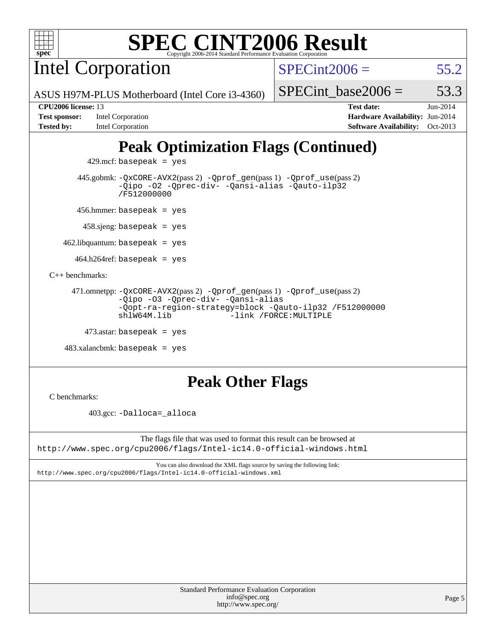

Intel Corporation

 $SPECint2006 = 55.2$  $SPECint2006 = 55.2$ 

SPECint base2006 =  $53.3$ 

ASUS H97M-PLUS Motherboard (Intel Core i3-4360)

**[Tested by:](http://www.spec.org/auto/cpu2006/Docs/result-fields.html#Testedby)** Intel Corporation **[Software Availability:](http://www.spec.org/auto/cpu2006/Docs/result-fields.html#SoftwareAvailability)** Oct-2013

**[CPU2006 license:](http://www.spec.org/auto/cpu2006/Docs/result-fields.html#CPU2006license)** 13 **[Test date:](http://www.spec.org/auto/cpu2006/Docs/result-fields.html#Testdate)** Jun-2014 **[Test sponsor:](http://www.spec.org/auto/cpu2006/Docs/result-fields.html#Testsponsor)** Intel Corporation **[Hardware Availability:](http://www.spec.org/auto/cpu2006/Docs/result-fields.html#HardwareAvailability)** Jun-2014

# **[Peak Optimization Flags \(Continued\)](http://www.spec.org/auto/cpu2006/Docs/result-fields.html#PeakOptimizationFlags)**

 $429$ .mcf: basepeak = yes

 445.gobmk: [-QxCORE-AVX2](http://www.spec.org/cpu2006/results/res2014q3/cpu2006-20140725-30606.flags.html#user_peakPASS2_CFLAGSPASS2_LDFLAGS445_gobmk_f-QxAVX2_f98716b5f9e905f99c943c56f21bf430)(pass 2) [-Qprof\\_gen](http://www.spec.org/cpu2006/results/res2014q3/cpu2006-20140725-30606.flags.html#user_peakPASS1_CFLAGSPASS1_LDFLAGS445_gobmk_Qprof_gen)(pass 1) [-Qprof\\_use](http://www.spec.org/cpu2006/results/res2014q3/cpu2006-20140725-30606.flags.html#user_peakPASS2_CFLAGSPASS2_LDFLAGS445_gobmk_Qprof_use)(pass 2) [-Qipo](http://www.spec.org/cpu2006/results/res2014q3/cpu2006-20140725-30606.flags.html#user_peakOPTIMIZE445_gobmk_f-Qipo) [-O2](http://www.spec.org/cpu2006/results/res2014q3/cpu2006-20140725-30606.flags.html#user_peakOPTIMIZE445_gobmk_f-O2) [-Qprec-div-](http://www.spec.org/cpu2006/results/res2014q3/cpu2006-20140725-30606.flags.html#user_peakOPTIMIZE445_gobmk_f-Qprec-div-) [-Qansi-alias](http://www.spec.org/cpu2006/results/res2014q3/cpu2006-20140725-30606.flags.html#user_peakOPTIMIZE445_gobmk_f-Qansi-alias) [-Qauto-ilp32](http://www.spec.org/cpu2006/results/res2014q3/cpu2006-20140725-30606.flags.html#user_peakCOPTIMIZE445_gobmk_f-Qauto-ilp32) [/F512000000](http://www.spec.org/cpu2006/results/res2014q3/cpu2006-20140725-30606.flags.html#user_peakEXTRA_LDFLAGS445_gobmk_set_stack_space_98438a10eb60aa5f35f4c79d9b9b27b1)

456.hmmer: basepeak = yes

458.sjeng: basepeak = yes

 $462$ .libquantum: basepeak = yes

 $464.h264$ ref: basepeak = yes

[C++ benchmarks:](http://www.spec.org/auto/cpu2006/Docs/result-fields.html#CXXbenchmarks)

```
 471.omnetpp: -QxCORE-AVX2(pass 2) -Qprof_gen(pass 1) -Qprof_use(pass 2)
-Qipo -O3 -Qprec-div- -Qansi-alias
-Qopt-ra-region-strategy=block -Qauto-ilp32 /F512000000
shlW64M.lib -link /FORCE:MULTIPLE
```

```
473.astar: basepeak = yes
```

```
 483.xalancbmk: basepeak = yes
```
## **[Peak Other Flags](http://www.spec.org/auto/cpu2006/Docs/result-fields.html#PeakOtherFlags)**

[C benchmarks](http://www.spec.org/auto/cpu2006/Docs/result-fields.html#Cbenchmarks):

403.gcc: [-Dalloca=\\_alloca](http://www.spec.org/cpu2006/results/res2014q3/cpu2006-20140725-30606.flags.html#b403.gcc_peakEXTRA_CFLAGS_Dalloca_be3056838c12de2578596ca5467af7f3)

The flags file that was used to format this result can be browsed at <http://www.spec.org/cpu2006/flags/Intel-ic14.0-official-windows.html>

You can also download the XML flags source by saving the following link: <http://www.spec.org/cpu2006/flags/Intel-ic14.0-official-windows.xml>